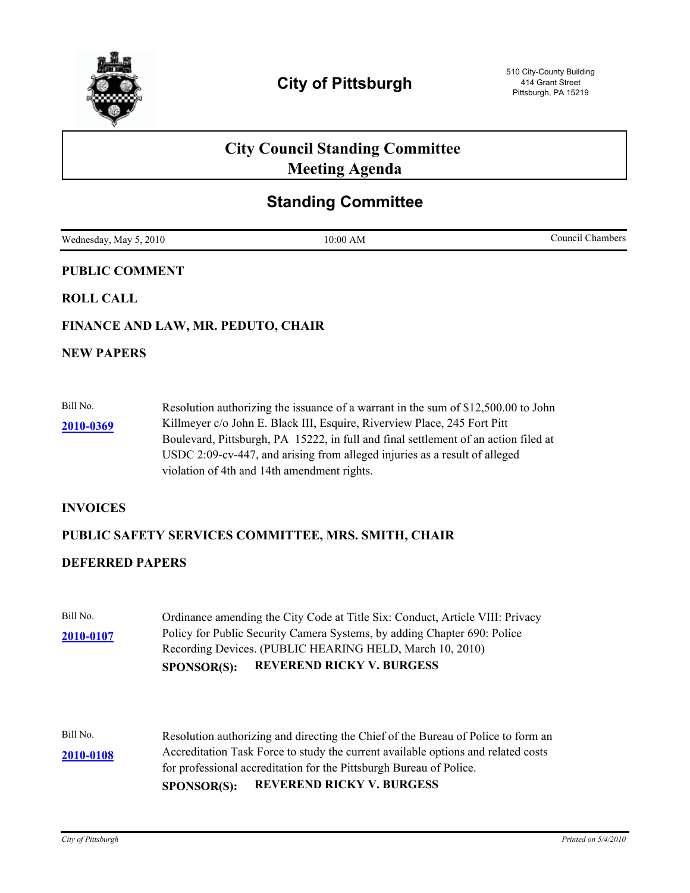

# **City Council Standing Committee Meeting Agenda**

## **Standing Committee**

Wednesday, May 5, 2010 10:00 AM Council Chambers Council Chambers

| <b>PUBLIC COMMENT</b> |                                                                                    |  |
|-----------------------|------------------------------------------------------------------------------------|--|
| <b>ROLL CALL</b>      |                                                                                    |  |
|                       | FINANCE AND LAW, MR. PEDUTO, CHAIR                                                 |  |
| <b>NEW PAPERS</b>     |                                                                                    |  |
|                       |                                                                                    |  |
| Bill No.              | Resolution authorizing the issuance of a warrant in the sum of \$12,500.00 to John |  |

Killmeyer c/o John E. Black III, Esquire, Riverview Place, 245 Fort Pitt Boulevard, Pittsburgh, PA 15222, in full and final settlement of an action filed at USDC 2:09-cv-447, and arising from alleged injuries as a result of alleged violation of 4th and 14th amendment rights. **[2010-0369](http://pittsburgh.legistar.com/gateway.aspx/matter.aspx?key=12905)**

### **INVOICES**

## **PUBLIC SAFETY SERVICES COMMITTEE, MRS. SMITH, CHAIR**

### **DEFERRED PAPERS**

|           | <b>REVEREND RICKY V. BURGESS</b><br><b>SPONSOR(S):</b>                        |
|-----------|-------------------------------------------------------------------------------|
|           | Recording Devices. (PUBLIC HEARING HELD, March 10, 2010)                      |
| 2010-0107 | Policy for Public Security Camera Systems, by adding Chapter 690: Police      |
| Bill No.  | Ordinance amending the City Code at Title Six: Conduct, Article VIII: Privacy |

Bill No. Resolution authorizing and directing the Chief of the Bureau of Police to form an Accreditation Task Force to study the current available options and related costs for professional accreditation for the Pittsburgh Bureau of Police. **[2010-0108](http://pittsburgh.legistar.com/gateway.aspx/matter.aspx?key=12613) SPONSOR(S): REVEREND RICKY V. BURGESS**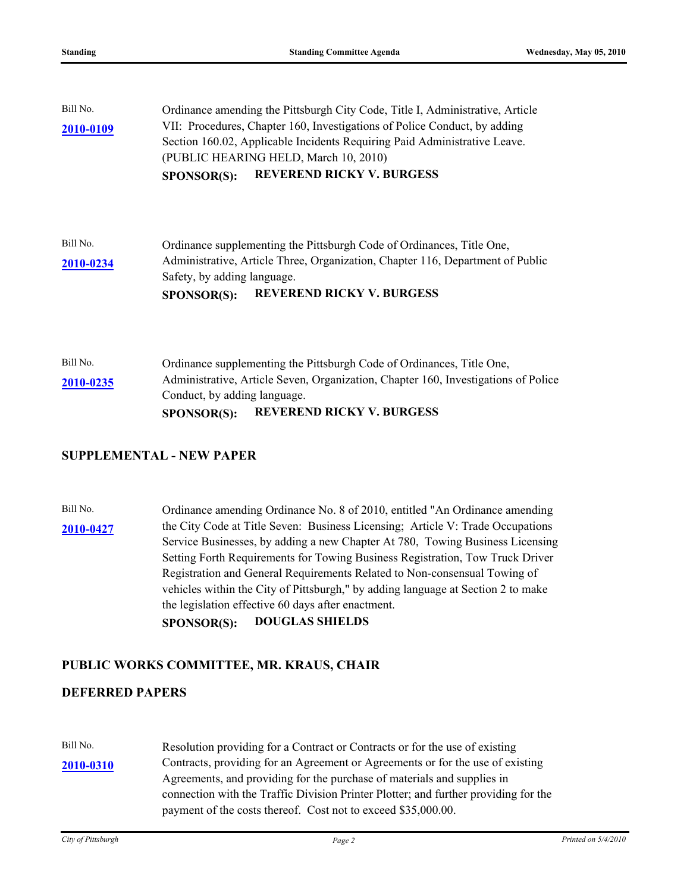| Bill No.  | Ordinance amending the Pittsburgh City Code, Title I, Administrative, Article      |  |
|-----------|------------------------------------------------------------------------------------|--|
| 2010-0109 | VII: Procedures, Chapter 160, Investigations of Police Conduct, by adding          |  |
|           | Section 160.02, Applicable Incidents Requiring Paid Administrative Leave.          |  |
|           | (PUBLIC HEARING HELD, March 10, 2010)                                              |  |
|           | <b>REVEREND RICKY V. BURGESS</b><br><b>SPONSOR(S):</b>                             |  |
|           |                                                                                    |  |
| Bill No.  | Ordinance supplementing the Pittsburgh Code of Ordinances, Title One,              |  |
| 2010-0234 | Administrative, Article Three, Organization, Chapter 116, Department of Public     |  |
|           | Safety, by adding language.                                                        |  |
|           | <b>REVEREND RICKY V. BURGESS</b><br><b>SPONSOR(S):</b>                             |  |
|           |                                                                                    |  |
| Bill No.  | Ordinance supplementing the Pittsburgh Code of Ordinances, Title One,              |  |
| 2010-0235 | Administrative, Article Seven, Organization, Chapter 160, Investigations of Police |  |
|           | Conduct, by adding language.                                                       |  |
|           | <b>REVEREND RICKY V. BURGESS</b><br><b>SPONSOR(S):</b>                             |  |

### **SUPPLEMENTAL - NEW PAPER**

Bill No. Cordinance amending Ordinance No. 8 of 2010, entitled "An Ordinance amending [2010-0427](http://pittsburgh.legistar.com/gateway.aspx/matter.aspx?key=12964) the City Code at Title Seven: Business Licensing; Article V: Trade Occupations Service Businesses, by adding a new Chapter At 780, Towing Business Licensing Setting Forth Requirements for Towing Business Registration, Tow Truck Driver Registration and General Requirements Related to Non-consensual Towing of vehicles within the City of Pittsburgh," by adding language at Section 2 to make the legislation effective 60 days after enactment. **SPONSOR(S): DOUGLAS SHIELDS**

### **PUBLIC WORKS COMMITTEE, MR. KRAUS, CHAIR**

### **DEFERRED PAPERS**

Bill No. Resolution providing for a Contract or Contracts or for the use of existing [2010-0310](http://pittsburgh.legistar.com/gateway.aspx/matter.aspx?key=12842) Contracts, providing for an Agreement or Agreements or for the use of existing Agreements, and providing for the purchase of materials and supplies in connection with the Traffic Division Printer Plotter; and further providing for the payment of the costs thereof. Cost not to exceed \$35,000.00.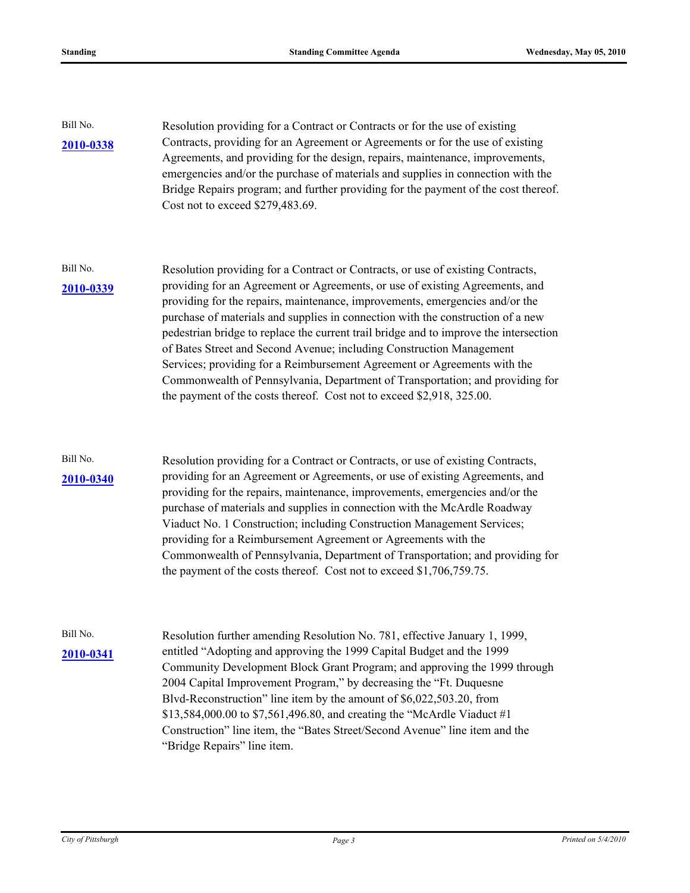| Bill No.<br>2010-0338 | Resolution providing for a Contract or Contracts or for the use of existing<br>Contracts, providing for an Agreement or Agreements or for the use of existing<br>Agreements, and providing for the design, repairs, maintenance, improvements,<br>emergencies and/or the purchase of materials and supplies in connection with the<br>Bridge Repairs program; and further providing for the payment of the cost thereof.<br>Cost not to exceed \$279,483.69.                                                                                                                                                                                                                                                                              |  |
|-----------------------|-------------------------------------------------------------------------------------------------------------------------------------------------------------------------------------------------------------------------------------------------------------------------------------------------------------------------------------------------------------------------------------------------------------------------------------------------------------------------------------------------------------------------------------------------------------------------------------------------------------------------------------------------------------------------------------------------------------------------------------------|--|
| Bill No.<br>2010-0339 | Resolution providing for a Contract or Contracts, or use of existing Contracts,<br>providing for an Agreement or Agreements, or use of existing Agreements, and<br>providing for the repairs, maintenance, improvements, emergencies and/or the<br>purchase of materials and supplies in connection with the construction of a new<br>pedestrian bridge to replace the current trail bridge and to improve the intersection<br>of Bates Street and Second Avenue; including Construction Management<br>Services; providing for a Reimbursement Agreement or Agreements with the<br>Commonwealth of Pennsylvania, Department of Transportation; and providing for<br>the payment of the costs thereof. Cost not to exceed \$2,918, 325.00. |  |
| Bill No.<br>2010-0340 | Resolution providing for a Contract or Contracts, or use of existing Contracts,<br>providing for an Agreement or Agreements, or use of existing Agreements, and<br>providing for the repairs, maintenance, improvements, emergencies and/or the<br>purchase of materials and supplies in connection with the McArdle Roadway<br>Viaduct No. 1 Construction; including Construction Management Services;<br>providing for a Reimbursement Agreement or Agreements with the<br>Commonwealth of Pennsylvania, Department of Transportation; and providing for<br>the payment of the costs thereof. Cost not to exceed \$1,706,759.75.                                                                                                        |  |
| Bill No.<br>2010-0341 | Resolution further amending Resolution No. 781, effective January 1, 1999,<br>entitled "Adopting and approving the 1999 Capital Budget and the 1999<br>Community Development Block Grant Program; and approving the 1999 through<br>2004 Capital Improvement Program," by decreasing the "Ft. Duquesne<br>Blvd-Reconstruction" line item by the amount of \$6,022,503.20, from<br>\$13,584,000.00 to \$7,561,496.80, and creating the "McArdle Viaduct #1<br>Construction" line item, the "Bates Street/Second Avenue" line item and the<br>"Bridge Repairs" line item.                                                                                                                                                                   |  |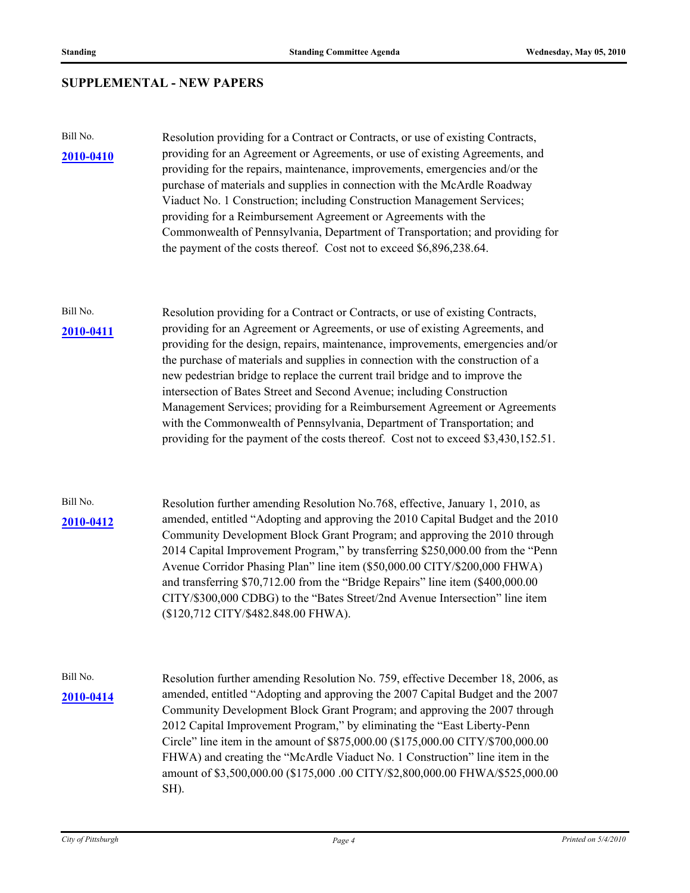## **SUPPLEMENTAL - NEW PAPERS**

| Bill No.<br>2010-0410 | Resolution providing for a Contract or Contracts, or use of existing Contracts,<br>providing for an Agreement or Agreements, or use of existing Agreements, and<br>providing for the repairs, maintenance, improvements, emergencies and/or the<br>purchase of materials and supplies in connection with the McArdle Roadway<br>Viaduct No. 1 Construction; including Construction Management Services;<br>providing for a Reimbursement Agreement or Agreements with the<br>Commonwealth of Pennsylvania, Department of Transportation; and providing for<br>the payment of the costs thereof. Cost not to exceed \$6,896,238.64.                                                                                                               |  |
|-----------------------|--------------------------------------------------------------------------------------------------------------------------------------------------------------------------------------------------------------------------------------------------------------------------------------------------------------------------------------------------------------------------------------------------------------------------------------------------------------------------------------------------------------------------------------------------------------------------------------------------------------------------------------------------------------------------------------------------------------------------------------------------|--|
| Bill No.<br>2010-0411 | Resolution providing for a Contract or Contracts, or use of existing Contracts,<br>providing for an Agreement or Agreements, or use of existing Agreements, and<br>providing for the design, repairs, maintenance, improvements, emergencies and/or<br>the purchase of materials and supplies in connection with the construction of a<br>new pedestrian bridge to replace the current trail bridge and to improve the<br>intersection of Bates Street and Second Avenue; including Construction<br>Management Services; providing for a Reimbursement Agreement or Agreements<br>with the Commonwealth of Pennsylvania, Department of Transportation; and<br>providing for the payment of the costs thereof. Cost not to exceed \$3,430,152.51. |  |
| Bill No.<br>2010-0412 | Resolution further amending Resolution No.768, effective, January 1, 2010, as<br>amended, entitled "Adopting and approving the 2010 Capital Budget and the 2010<br>Community Development Block Grant Program; and approving the 2010 through<br>2014 Capital Improvement Program," by transferring \$250,000.00 from the "Penn<br>Avenue Corridor Phasing Plan" line item (\$50,000.00 CITY/\$200,000 FHWA)<br>and transferring \$70,712.00 from the "Bridge Repairs" line item (\$400,000.00<br>CITY/\$300,000 CDBG) to the "Bates Street/2nd Avenue Intersection" line item<br>(\$120,712 CITY/\$482.848.00 FHWA).                                                                                                                             |  |
| Bill No.<br>2010-0414 | Resolution further amending Resolution No. 759, effective December 18, 2006, as<br>amended, entitled "Adopting and approving the 2007 Capital Budget and the 2007<br>Community Development Block Grant Program; and approving the 2007 through<br>2012 Capital Improvement Program," by eliminating the "East Liberty-Penn<br>Circle" line item in the amount of \$875,000.00 (\$175,000.00 CITY/\$700,000.00<br>FHWA) and creating the "McArdle Viaduct No. 1 Construction" line item in the<br>amount of \$3,500,000.00 (\$175,000 .00 CITY/\$2,800,000.00 FHWA/\$525,000.00<br>SH).                                                                                                                                                           |  |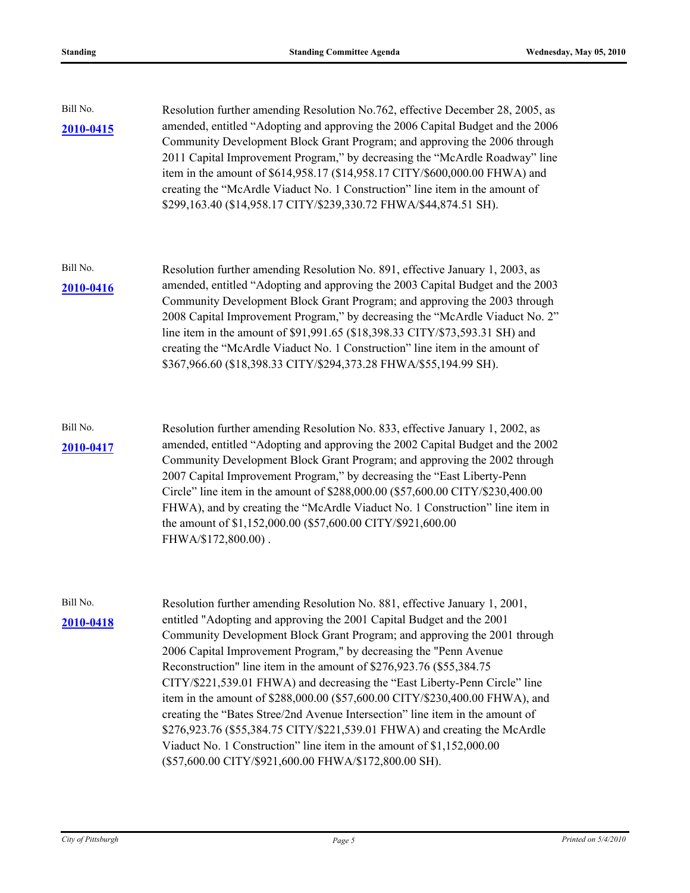| Bill No.<br>2010-0415 | Resolution further amending Resolution No.762, effective December 28, 2005, as<br>amended, entitled "Adopting and approving the 2006 Capital Budget and the 2006<br>Community Development Block Grant Program; and approving the 2006 through<br>2011 Capital Improvement Program," by decreasing the "McArdle Roadway" line<br>item in the amount of \$614,958.17 (\$14,958.17 CITY/\$600,000.00 FHWA) and<br>creating the "McArdle Viaduct No. 1 Construction" line item in the amount of<br>\$299,163.40 (\$14,958.17 CITY/\$239,330.72 FHWA/\$44,874.51 SH).                                                                                                                                                                                                                                                                              |
|-----------------------|-----------------------------------------------------------------------------------------------------------------------------------------------------------------------------------------------------------------------------------------------------------------------------------------------------------------------------------------------------------------------------------------------------------------------------------------------------------------------------------------------------------------------------------------------------------------------------------------------------------------------------------------------------------------------------------------------------------------------------------------------------------------------------------------------------------------------------------------------|
| Bill No.<br>2010-0416 | Resolution further amending Resolution No. 891, effective January 1, 2003, as<br>amended, entitled "Adopting and approving the 2003 Capital Budget and the 2003<br>Community Development Block Grant Program; and approving the 2003 through<br>2008 Capital Improvement Program," by decreasing the "McArdle Viaduct No. 2"<br>line item in the amount of \$91,991.65 (\$18,398.33 CITY/\$73,593.31 SH) and<br>creating the "McArdle Viaduct No. 1 Construction" line item in the amount of<br>\$367,966.60 (\$18,398.33 CITY/\$294,373.28 FHWA/\$55,194.99 SH).                                                                                                                                                                                                                                                                             |
| Bill No.<br>2010-0417 | Resolution further amending Resolution No. 833, effective January 1, 2002, as<br>amended, entitled "Adopting and approving the 2002 Capital Budget and the 2002<br>Community Development Block Grant Program; and approving the 2002 through<br>2007 Capital Improvement Program," by decreasing the "East Liberty-Penn<br>Circle" line item in the amount of \$288,000.00 (\$57,600.00 CITY/\$230,400.00<br>FHWA), and by creating the "McArdle Viaduct No. 1 Construction" line item in<br>the amount of \$1,152,000.00 (\$57,600.00 CITY/\$921,600.00<br>FHWA/\$172,800.00).                                                                                                                                                                                                                                                               |
| Bill No.<br>2010-0418 | Resolution further amending Resolution No. 881, effective January 1, 2001,<br>entitled "Adopting and approving the 2001 Capital Budget and the 2001<br>Community Development Block Grant Program; and approving the 2001 through<br>2006 Capital Improvement Program," by decreasing the "Penn Avenue<br>Reconstruction" line item in the amount of \$276,923.76 (\$55,384.75)<br>CITY/\$221,539.01 FHWA) and decreasing the "East Liberty-Penn Circle" line<br>item in the amount of \$288,000.00 (\$57,600.00 CITY/\$230,400.00 FHWA), and<br>creating the "Bates Stree/2nd Avenue Intersection" line item in the amount of<br>\$276,923.76 (\$55,384.75 CITY/\$221,539.01 FHWA) and creating the McArdle<br>Viaduct No. 1 Construction" line item in the amount of \$1,152,000.00<br>(\$57,600.00 CITY/\$921,600.00 FHWA/\$172,800.00 SH). |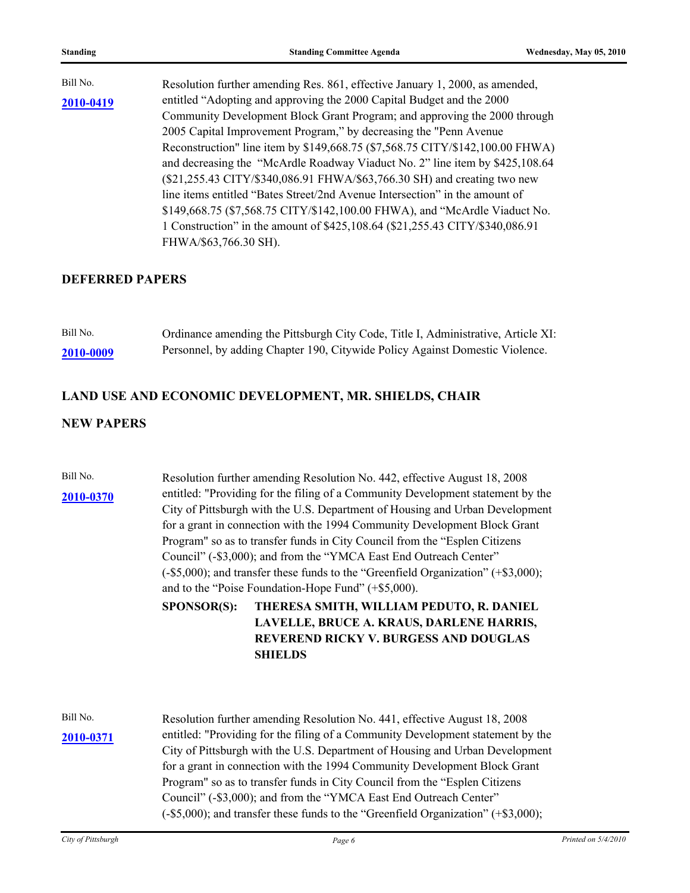| Bill No.  | Resolution further amending Res. 861, effective January 1, 2000, as amended,  |
|-----------|-------------------------------------------------------------------------------|
| 2010-0419 | entitled "Adopting and approving the 2000 Capital Budget and the 2000         |
|           | Community Development Block Grant Program; and approving the 2000 through     |
|           | 2005 Capital Improvement Program," by decreasing the "Penn Avenue             |
|           | Reconstruction" line item by \$149,668.75 (\$7,568.75 CITY/\$142,100.00 FHWA) |
|           | and decreasing the "McArdle Roadway Viaduct No. 2" line item by \$425,108.64  |
|           | (\$21,255.43 CITY/\$340,086.91 FHWA/\$63,766.30 SH) and creating two new      |
|           | line items entitled "Bates Street/2nd Avenue Intersection" in the amount of   |
|           | \$149,668.75 (\$7,568.75 CITY/\$142,100.00 FHWA), and "McArdle Viaduct No.    |
|           | 1 Construction" in the amount of \$425,108.64 (\$21,255.43 CITY/\$340,086.91) |
|           | FHWA/\$63,766.30 SH).                                                         |

### **DEFERRED PAPERS**

| Bill No.  | Ordinance amending the Pittsburgh City Code, Title I, Administrative, Article XI: |
|-----------|-----------------------------------------------------------------------------------|
| 2010-0009 | Personnel, by adding Chapter 190, Citywide Policy Against Domestic Violence.      |

## **LAND USE AND ECONOMIC DEVELOPMENT, MR. SHIELDS, CHAIR**

### **NEW PAPERS**

| Bill No.<br>2010-0370 | Resolution further amending Resolution No. 442, effective August 18, 2008<br>entitled: "Providing for the filing of a Community Development statement by the<br>City of Pittsburgh with the U.S. Department of Housing and Urban Development<br>for a grant in connection with the 1994 Community Development Block Grant<br>Program" so as to transfer funds in City Council from the "Esplen Citizens<br>Council" (-\$3,000); and from the "YMCA East End Outreach Center"                                                                                       |
|-----------------------|--------------------------------------------------------------------------------------------------------------------------------------------------------------------------------------------------------------------------------------------------------------------------------------------------------------------------------------------------------------------------------------------------------------------------------------------------------------------------------------------------------------------------------------------------------------------|
|                       | $(-\$5,000)$ ; and transfer these funds to the "Greenfield Organization" $(+\$3,000)$ ;<br>and to the "Poise Foundation-Hope Fund" (+\$5,000).                                                                                                                                                                                                                                                                                                                                                                                                                     |
|                       | THERESA SMITH, WILLIAM PEDUTO, R. DANIEL<br><b>SPONSOR(S):</b><br>LAVELLE, BRUCE A. KRAUS, DARLENE HARRIS,<br>REVEREND RICKY V. BURGESS AND DOUGLAS<br><b>SHIELDS</b>                                                                                                                                                                                                                                                                                                                                                                                              |
| Bill No.<br>2010-0371 | Resolution further amending Resolution No. 441, effective August 18, 2008<br>entitled: "Providing for the filing of a Community Development statement by the<br>City of Pittsburgh with the U.S. Department of Housing and Urban Development<br>for a grant in connection with the 1994 Community Development Block Grant<br>Program" so as to transfer funds in City Council from the "Esplen Citizens"<br>Council" (-\$3,000); and from the "YMCA East End Outreach Center"<br>(-\$5,000); and transfer these funds to the "Greenfield Organization" (+\$3,000); |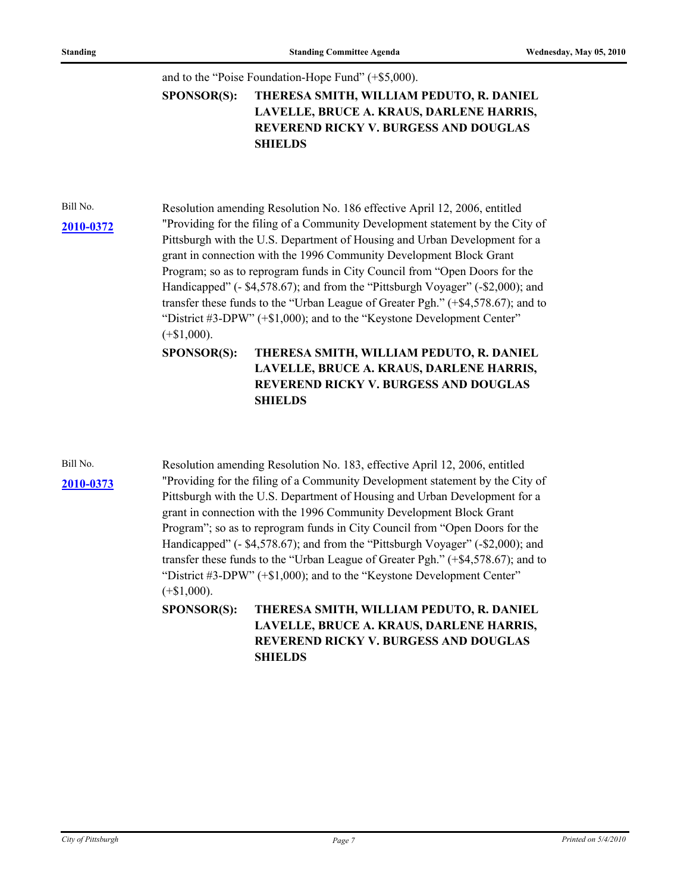### and to the "Poise Foundation-Hope Fund" (+\$5,000).

### **THERESA SMITH, WILLIAM PEDUTO, R. DANIEL LAVELLE, BRUCE A. KRAUS, DARLENE HARRIS, REVEREND RICKY V. BURGESS AND DOUGLAS SHIELDS SPONSOR(S):**

Bill No. Resolution amending Resolution No. 186 effective April 12, 2006, entitled "Providing for the filing of a Community Development statement by the City of **[2010-0372](http://pittsburgh.legistar.com/gateway.aspx/matter.aspx?key=12908)** Pittsburgh with the U.S. Department of Housing and Urban Development for a grant in connection with the 1996 Community Development Block Grant Program; so as to reprogram funds in City Council from "Open Doors for the Handicapped" (- \$4,578.67); and from the "Pittsburgh Voyager" (-\$2,000); and transfer these funds to the "Urban League of Greater Pgh." (+\$4,578.67); and to "District #3-DPW" (+\$1,000); and to the "Keystone Development Center"  $(+\$1,000)$ .

> **THERESA SMITH, WILLIAM PEDUTO, R. DANIEL LAVELLE, BRUCE A. KRAUS, DARLENE HARRIS, REVEREND RICKY V. BURGESS AND DOUGLAS SHIELDS SPONSOR(S):**

**[2010-0373](http://pittsburgh.legistar.com/gateway.aspx/matter.aspx?key=12909)**

Bill No. Resolution amending Resolution No. 183, effective April 12, 2006, entitled "Providing for the filing of a Community Development statement by the City of Pittsburgh with the U.S. Department of Housing and Urban Development for a grant in connection with the 1996 Community Development Block Grant Program"; so as to reprogram funds in City Council from "Open Doors for the Handicapped" (- \$4,578.67); and from the "Pittsburgh Voyager" (-\$2,000); and transfer these funds to the "Urban League of Greater Pgh." (+\$4,578.67); and to "District #3-DPW" (+\$1,000); and to the "Keystone Development Center"  $(+\$1,000)$ .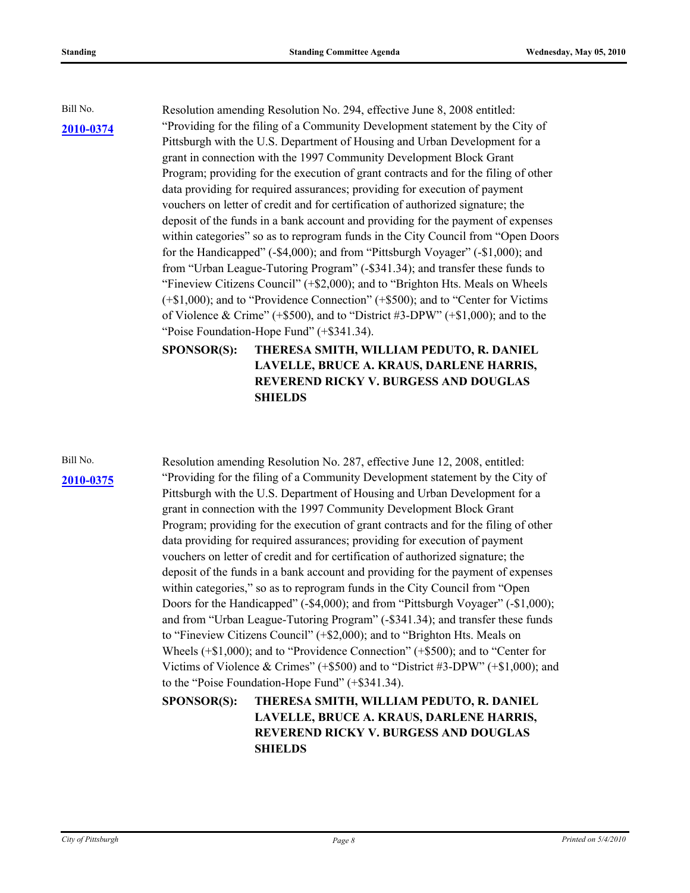Bill No. Resolution amending Resolution No. 294, effective June 8, 2008 entitled: "Providing for the filing of a Community Development statement by the City of Pittsburgh with the U.S. Department of Housing and Urban Development for a grant in connection with the 1997 Community Development Block Grant Program; providing for the execution of grant contracts and for the filing of other data providing for required assurances; providing for execution of payment vouchers on letter of credit and for certification of authorized signature; the deposit of the funds in a bank account and providing for the payment of expenses within categories" so as to reprogram funds in the City Council from "Open Doors" for the Handicapped" (-\$4,000); and from "Pittsburgh Voyager" (-\$1,000); and from "Urban League-Tutoring Program" (-\$341.34); and transfer these funds to "Fineview Citizens Council" (+\$2,000); and to "Brighton Hts. Meals on Wheels (+\$1,000); and to "Providence Connection" (+\$500); and to "Center for Victims of Violence & Crime" ( $+$ \$500), and to "District #3-DPW" ( $+$ \$1,000); and to the "Poise Foundation-Hope Fund" (+\$341.34).

### **THERESA SMITH, WILLIAM PEDUTO, R. DANIEL LAVELLE, BRUCE A. KRAUS, DARLENE HARRIS, REVEREND RICKY V. BURGESS AND DOUGLAS SHIELDS SPONSOR(S):**

**[2010-0375](http://pittsburgh.legistar.com/gateway.aspx/matter.aspx?key=12911)**

Bill No. Resolution amending Resolution No. 287, effective June 12, 2008, entitled: "Providing for the filing of a Community Development statement by the City of Pittsburgh with the U.S. Department of Housing and Urban Development for a grant in connection with the 1997 Community Development Block Grant Program; providing for the execution of grant contracts and for the filing of other data providing for required assurances; providing for execution of payment vouchers on letter of credit and for certification of authorized signature; the deposit of the funds in a bank account and providing for the payment of expenses within categories," so as to reprogram funds in the City Council from "Open Doors for the Handicapped" (-\$4,000); and from "Pittsburgh Voyager" (-\$1,000); and from "Urban League-Tutoring Program" (-\$341.34); and transfer these funds to "Fineview Citizens Council" (+\$2,000); and to "Brighton Hts. Meals on Wheels (+\$1,000); and to "Providence Connection" (+\$500); and to "Center for Victims of Violence & Crimes" (+\$500) and to "District #3-DPW" (+\$1,000); and to the "Poise Foundation-Hope Fund" (+\$341.34).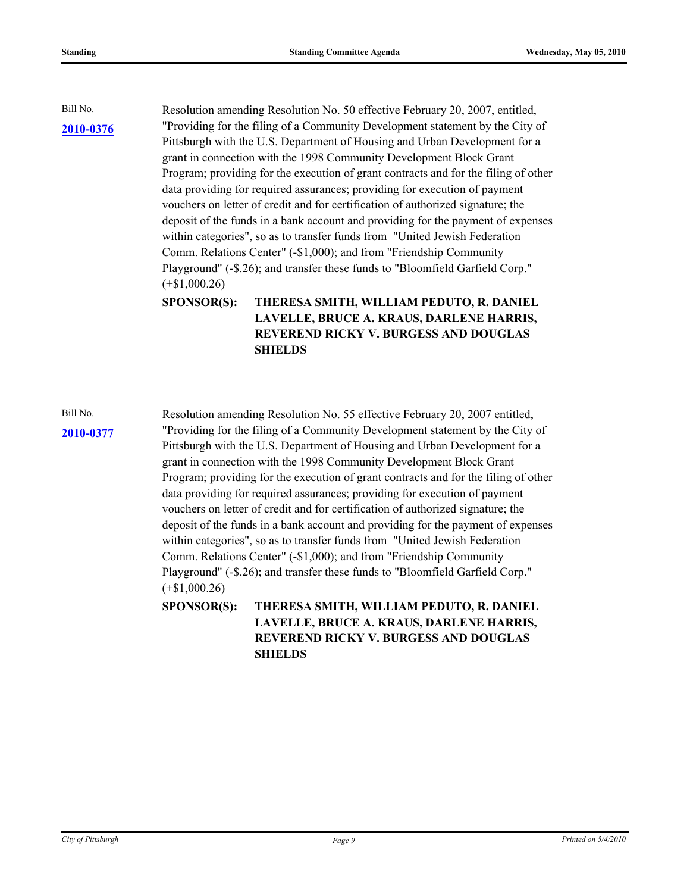Bill No. Resolution amending Resolution No. 50 effective February 20, 2007, entitled, "Providing for the filing of a Community Development statement by the City of Pittsburgh with the U.S. Department of Housing and Urban Development for a grant in connection with the 1998 Community Development Block Grant Program; providing for the execution of grant contracts and for the filing of other data providing for required assurances; providing for execution of payment vouchers on letter of credit and for certification of authorized signature; the deposit of the funds in a bank account and providing for the payment of expenses within categories", so as to transfer funds from "United Jewish Federation Comm. Relations Center" (-\$1,000); and from "Friendship Community Playground" (-\$.26); and transfer these funds to "Bloomfield Garfield Corp." (+\$1,000.26)

> **THERESA SMITH, WILLIAM PEDUTO, R. DANIEL LAVELLE, BRUCE A. KRAUS, DARLENE HARRIS, REVEREND RICKY V. BURGESS AND DOUGLAS SHIELDS SPONSOR(S):**

Bill No. Resolution amending Resolution No. 55 effective February 20, 2007 entitled, "Providing for the filing of a Community Development statement by the City of **[2010-0377](http://pittsburgh.legistar.com/gateway.aspx/matter.aspx?key=12913)** Pittsburgh with the U.S. Department of Housing and Urban Development for a grant in connection with the 1998 Community Development Block Grant Program; providing for the execution of grant contracts and for the filing of other data providing for required assurances; providing for execution of payment vouchers on letter of credit and for certification of authorized signature; the deposit of the funds in a bank account and providing for the payment of expenses within categories", so as to transfer funds from "United Jewish Federation Comm. Relations Center" (-\$1,000); and from "Friendship Community Playground" (-\$.26); and transfer these funds to "Bloomfield Garfield Corp." (+\$1,000.26)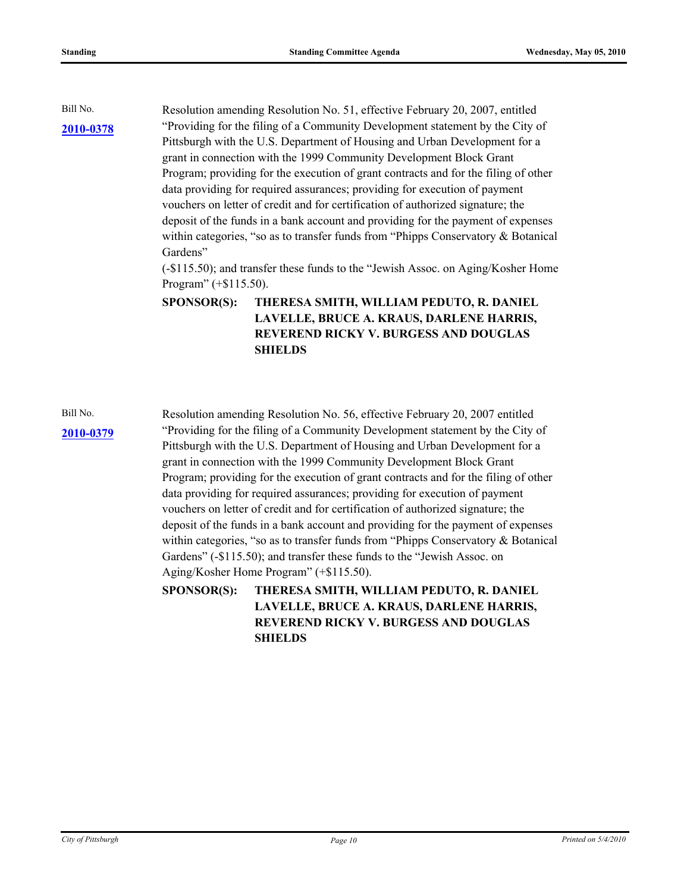Bill No. Resolution amending Resolution No. 51, effective February 20, 2007, entitled "Providing for the filing of a Community Development statement by the City of Pittsburgh with the U.S. Department of Housing and Urban Development for a grant in connection with the 1999 Community Development Block Grant Program; providing for the execution of grant contracts and for the filing of other data providing for required assurances; providing for execution of payment vouchers on letter of credit and for certification of authorized signature; the deposit of the funds in a bank account and providing for the payment of expenses within categories, "so as to transfer funds from "Phipps Conservatory & Botanical Gardens"

(-\$115.50); and transfer these funds to the "Jewish Assoc. on Aging/Kosher Home Program" (+\$115.50).

**THERESA SMITH, WILLIAM PEDUTO, R. DANIEL LAVELLE, BRUCE A. KRAUS, DARLENE HARRIS, REVEREND RICKY V. BURGESS AND DOUGLAS SHIELDS SPONSOR(S):**

Bill No. Resolution amending Resolution No. 56, effective February 20, 2007 entitled "Providing for the filing of a Community Development statement by the City of **[2010-0379](http://pittsburgh.legistar.com/gateway.aspx/matter.aspx?key=12915)** Pittsburgh with the U.S. Department of Housing and Urban Development for a grant in connection with the 1999 Community Development Block Grant Program; providing for the execution of grant contracts and for the filing of other data providing for required assurances; providing for execution of payment vouchers on letter of credit and for certification of authorized signature; the deposit of the funds in a bank account and providing for the payment of expenses within categories, "so as to transfer funds from "Phipps Conservatory & Botanical Gardens" (-\$115.50); and transfer these funds to the "Jewish Assoc. on Aging/Kosher Home Program" (+\$115.50).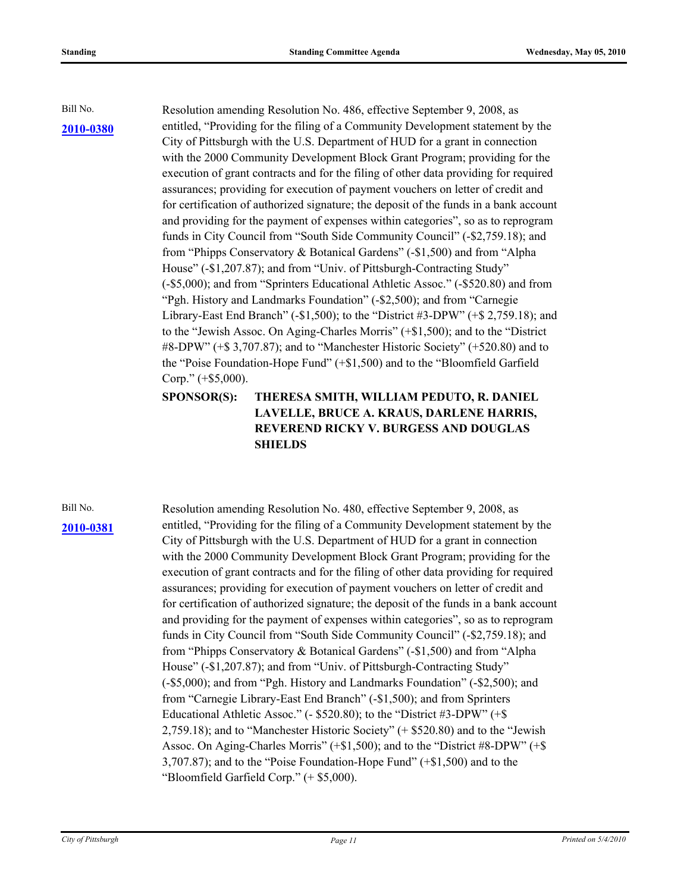Bill No. Resolution amending Resolution No. 486, effective September 9, 2008, as entitled, "Providing for the filing of a Community Development statement by the City of Pittsburgh with the U.S. Department of HUD for a grant in connection with the 2000 Community Development Block Grant Program; providing for the execution of grant contracts and for the filing of other data providing for required assurances; providing for execution of payment vouchers on letter of credit and for certification of authorized signature; the deposit of the funds in a bank account and providing for the payment of expenses within categories", so as to reprogram funds in City Council from "South Side Community Council" (-\$2,759.18); and from "Phipps Conservatory & Botanical Gardens" (-\$1,500) and from "Alpha House" (-\$1,207.87); and from "Univ. of Pittsburgh-Contracting Study" (-\$5,000); and from "Sprinters Educational Athletic Assoc." (-\$520.80) and from "Pgh. History and Landmarks Foundation" (-\$2,500); and from "Carnegie Library-East End Branch" (-\$1,500); to the "District #3-DPW" (+\$ 2,759.18); and to the "Jewish Assoc. On Aging-Charles Morris" (+\$1,500); and to the "District #8-DPW" (+\$ 3,707.87); and to "Manchester Historic Society" (+520.80) and to the "Poise Foundation-Hope Fund" (+\$1,500) and to the "Bloomfield Garfield Corp." (+\$5,000).

### **THERESA SMITH, WILLIAM PEDUTO, R. DANIEL LAVELLE, BRUCE A. KRAUS, DARLENE HARRIS, REVEREND RICKY V. BURGESS AND DOUGLAS SHIELDS SPONSOR(S):**

### **[2010-0381](http://pittsburgh.legistar.com/gateway.aspx/matter.aspx?key=12917)**

Bill No. Resolution amending Resolution No. 480, effective September 9, 2008, as entitled, "Providing for the filing of a Community Development statement by the City of Pittsburgh with the U.S. Department of HUD for a grant in connection with the 2000 Community Development Block Grant Program; providing for the execution of grant contracts and for the filing of other data providing for required assurances; providing for execution of payment vouchers on letter of credit and for certification of authorized signature; the deposit of the funds in a bank account and providing for the payment of expenses within categories", so as to reprogram funds in City Council from "South Side Community Council" (-\$2,759.18); and from "Phipps Conservatory & Botanical Gardens" (-\$1,500) and from "Alpha House" (-\$1,207.87); and from "Univ. of Pittsburgh-Contracting Study" (-\$5,000); and from "Pgh. History and Landmarks Foundation" (-\$2,500); and from "Carnegie Library-East End Branch" (-\$1,500); and from Sprinters Educational Athletic Assoc." (- \$520.80); to the "District #3-DPW" (+\$ 2,759.18); and to "Manchester Historic Society" (+ \$520.80) and to the "Jewish Assoc. On Aging-Charles Morris" (+\$1,500); and to the "District #8-DPW" (+\$ 3,707.87); and to the "Poise Foundation-Hope Fund" (+\$1,500) and to the "Bloomfield Garfield Corp." (+ \$5,000).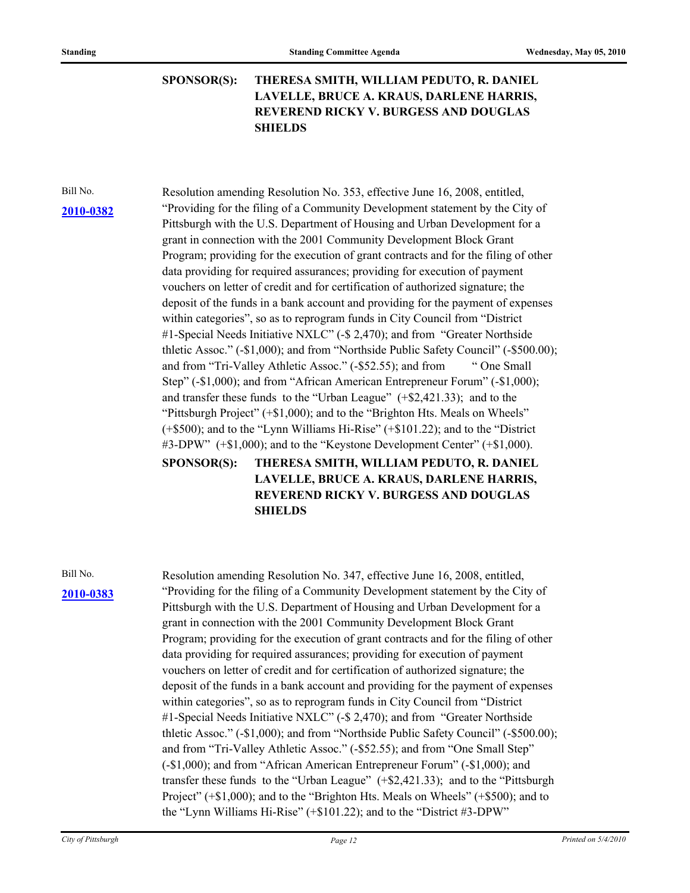**THERESA SMITH, WILLIAM PEDUTO, R. DANIEL LAVELLE, BRUCE A. KRAUS, DARLENE HARRIS, REVEREND RICKY V. BURGESS AND DOUGLAS SHIELDS SPONSOR(S):**

**[2010-0382](http://pittsburgh.legistar.com/gateway.aspx/matter.aspx?key=12918)**

Bill No. Resolution amending Resolution No. 353, effective June 16, 2008, entitled, "Providing for the filing of a Community Development statement by the City of Pittsburgh with the U.S. Department of Housing and Urban Development for a grant in connection with the 2001 Community Development Block Grant Program; providing for the execution of grant contracts and for the filing of other data providing for required assurances; providing for execution of payment vouchers on letter of credit and for certification of authorized signature; the deposit of the funds in a bank account and providing for the payment of expenses within categories", so as to reprogram funds in City Council from "District #1-Special Needs Initiative NXLC" (-\$ 2,470); and from "Greater Northside thletic Assoc." (-\$1,000); and from "Northside Public Safety Council" (-\$500.00); and from "Tri-Valley Athletic Assoc." (-\$52.55); and from " One Small Step" (-\$1,000); and from "African American Entrepreneur Forum" (-\$1,000); and transfer these funds to the "Urban League" (+\$2,421.33); and to the "Pittsburgh Project" (+\$1,000); and to the "Brighton Hts. Meals on Wheels" (+\$500); and to the "Lynn Williams Hi-Rise" (+\$101.22); and to the "District #3-DPW" (+\$1,000); and to the "Keystone Development Center" (+\$1,000).

> **THERESA SMITH, WILLIAM PEDUTO, R. DANIEL LAVELLE, BRUCE A. KRAUS, DARLENE HARRIS, REVEREND RICKY V. BURGESS AND DOUGLAS SHIELDS SPONSOR(S):**

# **[2010-0383](http://pittsburgh.legistar.com/gateway.aspx/matter.aspx?key=12919)**

Bill No. Resolution amending Resolution No. 347, effective June 16, 2008, entitled, "Providing for the filing of a Community Development statement by the City of Pittsburgh with the U.S. Department of Housing and Urban Development for a grant in connection with the 2001 Community Development Block Grant Program; providing for the execution of grant contracts and for the filing of other data providing for required assurances; providing for execution of payment vouchers on letter of credit and for certification of authorized signature; the deposit of the funds in a bank account and providing for the payment of expenses within categories", so as to reprogram funds in City Council from "District #1-Special Needs Initiative NXLC" (-\$ 2,470); and from "Greater Northside thletic Assoc." (-\$1,000); and from "Northside Public Safety Council" (-\$500.00); and from "Tri-Valley Athletic Assoc." (-\$52.55); and from "One Small Step" (-\$1,000); and from "African American Entrepreneur Forum" (-\$1,000); and transfer these funds to the "Urban League" (+\$2,421.33); and to the "Pittsburgh Project" (+\$1,000); and to the "Brighton Hts. Meals on Wheels" (+\$500); and to the "Lynn Williams Hi-Rise" (+\$101.22); and to the "District #3-DPW"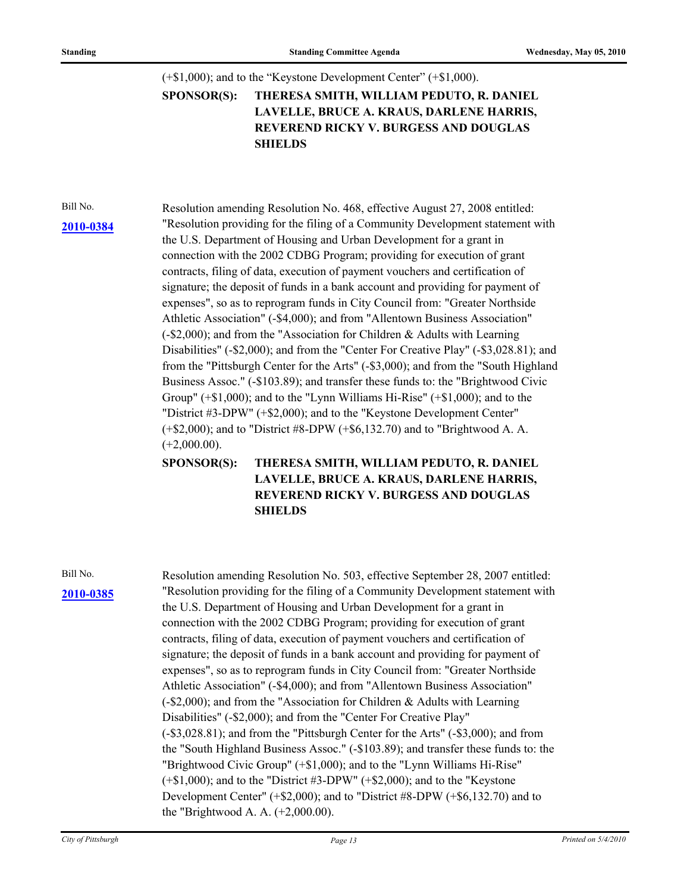$(+\$1,000)$ ; and to the "Keystone Development Center"  $(+\$1,000)$ .

**THERESA SMITH, WILLIAM PEDUTO, R. DANIEL LAVELLE, BRUCE A. KRAUS, DARLENE HARRIS, REVEREND RICKY V. BURGESS AND DOUGLAS SHIELDS SPONSOR(S):**

Bill No. Resolution amending Resolution No. 468, effective August 27, 2008 entitled: "Resolution providing for the filing of a Community Development statement with **[2010-0384](http://pittsburgh.legistar.com/gateway.aspx/matter.aspx?key=12920)** the U.S. Department of Housing and Urban Development for a grant in connection with the 2002 CDBG Program; providing for execution of grant contracts, filing of data, execution of payment vouchers and certification of signature; the deposit of funds in a bank account and providing for payment of expenses", so as to reprogram funds in City Council from: "Greater Northside Athletic Association" (-\$4,000); and from "Allentown Business Association" (-\$2,000); and from the "Association for Children & Adults with Learning Disabilities" (-\$2,000); and from the "Center For Creative Play" (-\$3,028.81); and from the "Pittsburgh Center for the Arts" (-\$3,000); and from the "South Highland Business Assoc." (-\$103.89); and transfer these funds to: the "Brightwood Civic Group" (+\$1,000); and to the "Lynn Williams Hi-Rise" (+\$1,000); and to the "District #3-DPW" (+\$2,000); and to the "Keystone Development Center" (+\$2,000); and to "District #8-DPW (+\$6,132.70) and to "Brightwood A. A.  $(+2,000.00)$ .

> **THERESA SMITH, WILLIAM PEDUTO, R. DANIEL LAVELLE, BRUCE A. KRAUS, DARLENE HARRIS, REVEREND RICKY V. BURGESS AND DOUGLAS SHIELDS SPONSOR(S):**

# **[2010-0385](http://pittsburgh.legistar.com/gateway.aspx/matter.aspx?key=12921)**

Bill No. Resolution amending Resolution No. 503, effective September 28, 2007 entitled: "Resolution providing for the filing of a Community Development statement with the U.S. Department of Housing and Urban Development for a grant in connection with the 2002 CDBG Program; providing for execution of grant contracts, filing of data, execution of payment vouchers and certification of signature; the deposit of funds in a bank account and providing for payment of expenses", so as to reprogram funds in City Council from: "Greater Northside Athletic Association" (-\$4,000); and from "Allentown Business Association" (-\$2,000); and from the "Association for Children & Adults with Learning Disabilities" (-\$2,000); and from the "Center For Creative Play" (-\$3,028.81); and from the "Pittsburgh Center for the Arts" (-\$3,000); and from the "South Highland Business Assoc." (-\$103.89); and transfer these funds to: the "Brightwood Civic Group" (+\$1,000); and to the "Lynn Williams Hi-Rise" (+\$1,000); and to the "District #3-DPW" (+\$2,000); and to the "Keystone Development Center" (+\$2,000); and to "District #8-DPW (+\$6,132.70) and to the "Brightwood A. A. (+2,000.00).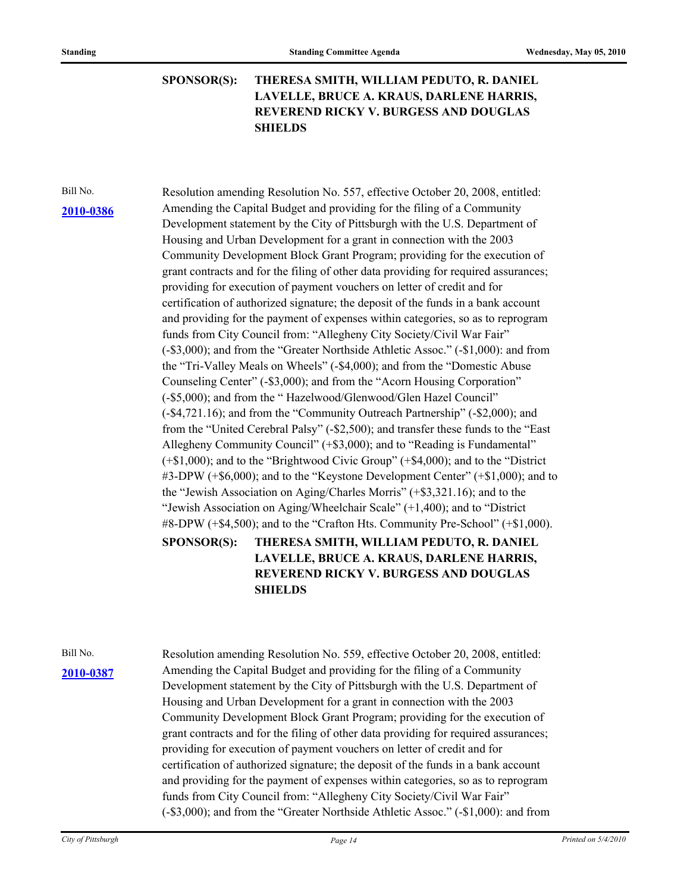**THERESA SMITH, WILLIAM PEDUTO, R. DANIEL LAVELLE, BRUCE A. KRAUS, DARLENE HARRIS, REVEREND RICKY V. BURGESS AND DOUGLAS SHIELDS SPONSOR(S):**

### **[2010-0386](http://pittsburgh.legistar.com/gateway.aspx/matter.aspx?key=12922)**

Bill No. Resolution amending Resolution No. 557, effective October 20, 2008, entitled: Amending the Capital Budget and providing for the filing of a Community Development statement by the City of Pittsburgh with the U.S. Department of Housing and Urban Development for a grant in connection with the 2003 Community Development Block Grant Program; providing for the execution of grant contracts and for the filing of other data providing for required assurances; providing for execution of payment vouchers on letter of credit and for certification of authorized signature; the deposit of the funds in a bank account and providing for the payment of expenses within categories, so as to reprogram funds from City Council from: "Allegheny City Society/Civil War Fair" (-\$3,000); and from the "Greater Northside Athletic Assoc." (-\$1,000): and from the "Tri-Valley Meals on Wheels" (-\$4,000); and from the "Domestic Abuse Counseling Center" (-\$3,000); and from the "Acorn Housing Corporation" (-\$5,000); and from the " Hazelwood/Glenwood/Glen Hazel Council" (-\$4,721.16); and from the "Community Outreach Partnership" (-\$2,000); and from the "United Cerebral Palsy" (-\$2,500); and transfer these funds to the "East Allegheny Community Council" (+\$3,000); and to "Reading is Fundamental" (+\$1,000); and to the "Brightwood Civic Group" (+\$4,000); and to the "District #3-DPW (+\$6,000); and to the "Keystone Development Center" (+\$1,000); and to the "Jewish Association on Aging/Charles Morris" (+\$3,321.16); and to the "Jewish Association on Aging/Wheelchair Scale" (+1,400); and to "District #8-DPW (+\$4,500); and to the "Crafton Hts. Community Pre-School" (+\$1,000).

### **THERESA SMITH, WILLIAM PEDUTO, R. DANIEL LAVELLE, BRUCE A. KRAUS, DARLENE HARRIS, REVEREND RICKY V. BURGESS AND DOUGLAS SHIELDS SPONSOR(S):**

Bill No. Resolution amending Resolution No. 559, effective October 20, 2008, entitled: Amending the Capital Budget and providing for the filing of a Community **[2010-0387](http://pittsburgh.legistar.com/gateway.aspx/matter.aspx?key=12923)** Development statement by the City of Pittsburgh with the U.S. Department of Housing and Urban Development for a grant in connection with the 2003 Community Development Block Grant Program; providing for the execution of grant contracts and for the filing of other data providing for required assurances; providing for execution of payment vouchers on letter of credit and for certification of authorized signature; the deposit of the funds in a bank account and providing for the payment of expenses within categories, so as to reprogram funds from City Council from: "Allegheny City Society/Civil War Fair" (-\$3,000); and from the "Greater Northside Athletic Assoc." (-\$1,000): and from